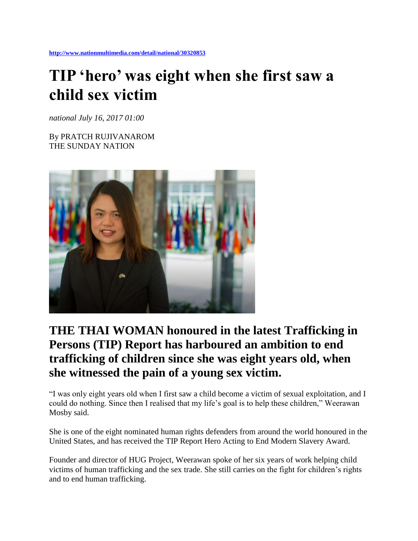## **TIP 'hero' was eight when she first saw a child sex victim**

*national July 16, 2017 01:00*

By PRATCH RUJIVANAROM THE SUNDAY NATION



## **THE THAI WOMAN honoured in the latest Trafficking in Persons (TIP) Report has harboured an ambition to end trafficking of children since she was eight years old, when she witnessed the pain of a young sex victim.**

"I was only eight years old when I first saw a child become a victim of sexual exploitation, and I could do nothing. Since then I realised that my life's goal is to help these children," Weerawan Mosby said.

She is one of the eight nominated human rights defenders from around the world honoured in the United States, and has received the TIP Report Hero Acting to End Modern Slavery Award.

Founder and director of HUG Project, Weerawan spoke of her six years of work helping child victims of human trafficking and the sex trade. She still carries on the fight for children's rights and to end human trafficking.